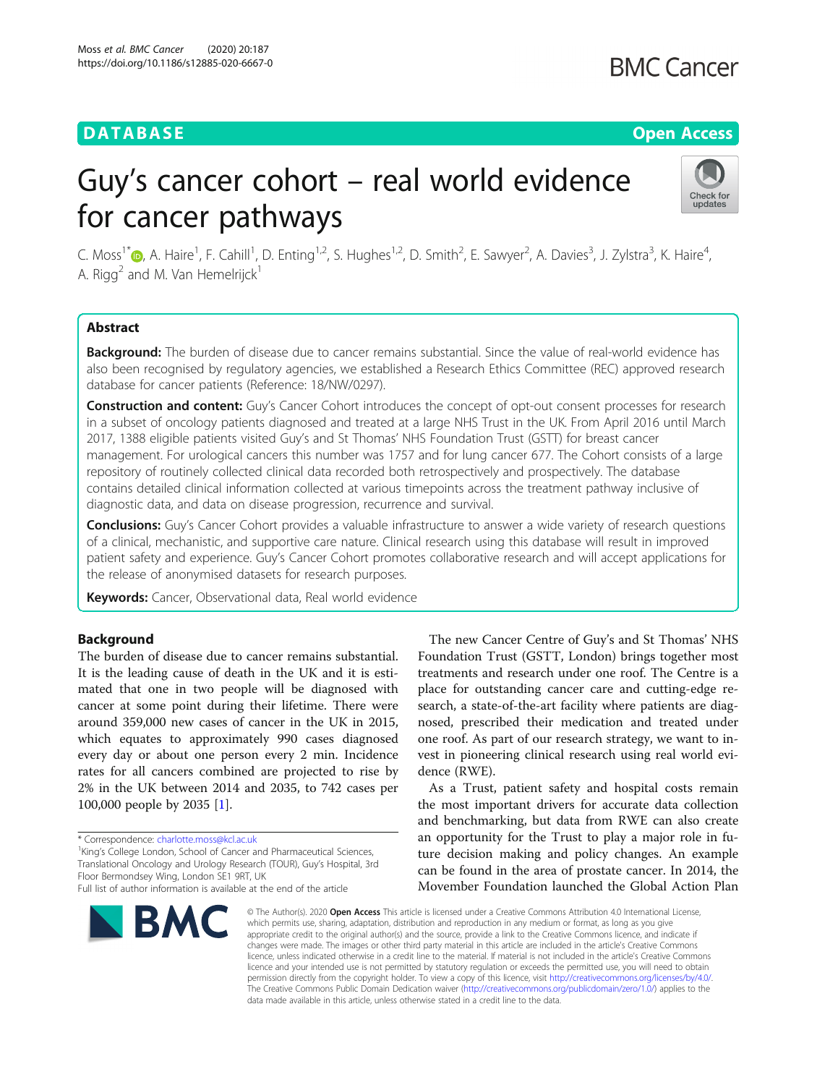# **DATABASE CONTABILITY CONTABILITY CONTABILITY CONTABILITY CONTABILITY CONTABILITY CONTABILITY CONTABILITY CONTABILITY CONTABILITY CONTABILITY CONTABILITY CONTABILITY CONTABILITY CONTABILITY CONTABILITY CONTABILITY CONTAB**

# **BMC Cancer**

# Guy's cancer cohort – real world evidence for cancer pathways



C. Moss<sup>1[\\*](http://orcid.org/0000-0002-4354-8987)</sup>®, A. Haire<sup>1</sup>, F. Cahill<sup>1</sup>, D. Enting<sup>1,2</sup>, S. Hughes<sup>1,2</sup>, D. Smith<sup>2</sup>, E. Sawyer<sup>2</sup>, A. Davies<sup>3</sup>, J. Zylstra<sup>3</sup>, K. Haire<sup>4</sup> , A. Rigg<sup>2</sup> and M. Van Hemelrijck<sup>1</sup>

# Abstract

Background: The burden of disease due to cancer remains substantial. Since the value of real-world evidence has also been recognised by regulatory agencies, we established a Research Ethics Committee (REC) approved research database for cancer patients (Reference: 18/NW/0297).

**Construction and content:** Guy's Cancer Cohort introduces the concept of opt-out consent processes for research in a subset of oncology patients diagnosed and treated at a large NHS Trust in the UK. From April 2016 until March 2017, 1388 eligible patients visited Guy's and St Thomas' NHS Foundation Trust (GSTT) for breast cancer management. For urological cancers this number was 1757 and for lung cancer 677. The Cohort consists of a large repository of routinely collected clinical data recorded both retrospectively and prospectively. The database contains detailed clinical information collected at various timepoints across the treatment pathway inclusive of diagnostic data, and data on disease progression, recurrence and survival.

**Conclusions:** Guy's Cancer Cohort provides a valuable infrastructure to answer a wide variety of research questions of a clinical, mechanistic, and supportive care nature. Clinical research using this database will result in improved patient safety and experience. Guy's Cancer Cohort promotes collaborative research and will accept applications for the release of anonymised datasets for research purposes.

Keywords: Cancer, Observational data, Real world evidence

# Background

The burden of disease due to cancer remains substantial. It is the leading cause of death in the UK and it is estimated that one in two people will be diagnosed with cancer at some point during their lifetime. There were around 359,000 new cases of cancer in the UK in 2015, which equates to approximately 990 cases diagnosed every day or about one person every 2 min. Incidence rates for all cancers combined are projected to rise by 2% in the UK between 2014 and 2035, to 742 cases per 100,000 people by 2035 [\[1](#page-5-0)].

\* Correspondence: [charlotte.moss@kcl.ac.uk](mailto:charlotte.moss@kcl.ac.uk) <sup>1</sup>

<sup>1</sup>King's College London, School of Cancer and Pharmaceutical Sciences, Translational Oncology and Urology Research (TOUR), Guy's Hospital, 3rd Floor Bermondsey Wing, London SE1 9RT, UK Full list of author information is available at the end of the article

The new Cancer Centre of Guy's and St Thomas' NHS Foundation Trust (GSTT, London) brings together most treatments and research under one roof. The Centre is a place for outstanding cancer care and cutting-edge research, a state-of-the-art facility where patients are diagnosed, prescribed their medication and treated under one roof. As part of our research strategy, we want to invest in pioneering clinical research using real world evidence (RWE).

As a Trust, patient safety and hospital costs remain the most important drivers for accurate data collection and benchmarking, but data from RWE can also create an opportunity for the Trust to play a major role in future decision making and policy changes. An example can be found in the area of prostate cancer. In 2014, the Movember Foundation launched the Global Action Plan

© The Author(s). 2020 Open Access This article is licensed under a Creative Commons Attribution 4.0 International License, which permits use, sharing, adaptation, distribution and reproduction in any medium or format, as long as you give appropriate credit to the original author(s) and the source, provide a link to the Creative Commons licence, and indicate if changes were made. The images or other third party material in this article are included in the article's Creative Commons licence, unless indicated otherwise in a credit line to the material. If material is not included in the article's Creative Commons licence and your intended use is not permitted by statutory regulation or exceeds the permitted use, you will need to obtain permission directly from the copyright holder. To view a copy of this licence, visit [http://creativecommons.org/licenses/by/4.0/.](http://creativecommons.org/licenses/by/4.0/) The Creative Commons Public Domain Dedication waiver [\(http://creativecommons.org/publicdomain/zero/1.0/](http://creativecommons.org/publicdomain/zero/1.0/)) applies to the data made available in this article, unless otherwise stated in a credit line to the data.

**BMC**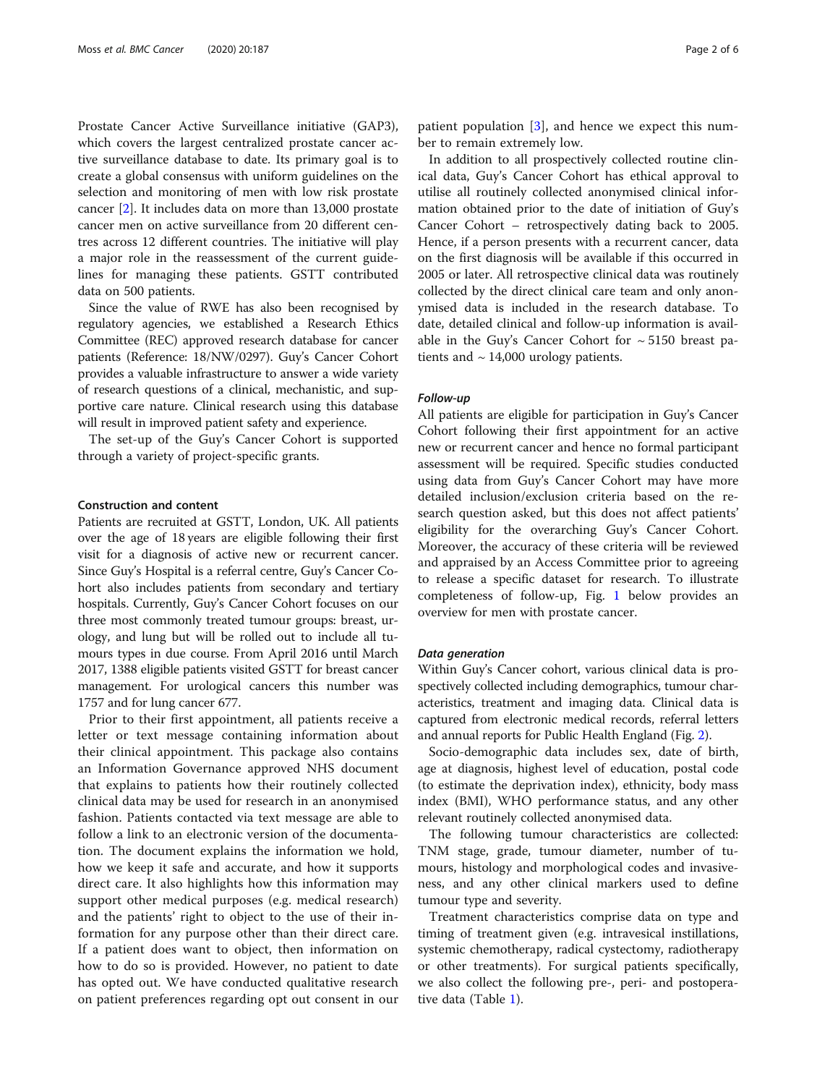Prostate Cancer Active Surveillance initiative (GAP3), which covers the largest centralized prostate cancer active surveillance database to date. Its primary goal is to create a global consensus with uniform guidelines on the selection and monitoring of men with low risk prostate cancer [[2](#page-5-0)]. It includes data on more than 13,000 prostate cancer men on active surveillance from 20 different centres across 12 different countries. The initiative will play a major role in the reassessment of the current guidelines for managing these patients. GSTT contributed data on 500 patients.

Since the value of RWE has also been recognised by regulatory agencies, we established a Research Ethics Committee (REC) approved research database for cancer patients (Reference: 18/NW/0297). Guy's Cancer Cohort provides a valuable infrastructure to answer a wide variety of research questions of a clinical, mechanistic, and supportive care nature. Clinical research using this database will result in improved patient safety and experience.

The set-up of the Guy's Cancer Cohort is supported through a variety of project-specific grants.

#### Construction and content

Patients are recruited at GSTT, London, UK. All patients over the age of 18 years are eligible following their first visit for a diagnosis of active new or recurrent cancer. Since Guy's Hospital is a referral centre, Guy's Cancer Cohort also includes patients from secondary and tertiary hospitals. Currently, Guy's Cancer Cohort focuses on our three most commonly treated tumour groups: breast, urology, and lung but will be rolled out to include all tumours types in due course. From April 2016 until March 2017, 1388 eligible patients visited GSTT for breast cancer management. For urological cancers this number was 1757 and for lung cancer 677.

Prior to their first appointment, all patients receive a letter or text message containing information about their clinical appointment. This package also contains an Information Governance approved NHS document that explains to patients how their routinely collected clinical data may be used for research in an anonymised fashion. Patients contacted via text message are able to follow a link to an electronic version of the documentation. The document explains the information we hold, how we keep it safe and accurate, and how it supports direct care. It also highlights how this information may support other medical purposes (e.g. medical research) and the patients' right to object to the use of their information for any purpose other than their direct care. If a patient does want to object, then information on how to do so is provided. However, no patient to date has opted out. We have conducted qualitative research on patient preferences regarding opt out consent in our

patient population  $[3]$  $[3]$ , and hence we expect this number to remain extremely low.

In addition to all prospectively collected routine clinical data, Guy's Cancer Cohort has ethical approval to utilise all routinely collected anonymised clinical information obtained prior to the date of initiation of Guy's Cancer Cohort – retrospectively dating back to 2005. Hence, if a person presents with a recurrent cancer, data on the first diagnosis will be available if this occurred in 2005 or later. All retrospective clinical data was routinely collected by the direct clinical care team and only anonymised data is included in the research database. To date, detailed clinical and follow-up information is available in the Guy's Cancer Cohort for  $\sim$  5150 breast patients and  $\sim$  14,000 urology patients.

All patients are eligible for participation in Guy's Cancer Cohort following their first appointment for an active new or recurrent cancer and hence no formal participant assessment will be required. Specific studies conducted using data from Guy's Cancer Cohort may have more detailed inclusion/exclusion criteria based on the research question asked, but this does not affect patients' eligibility for the overarching Guy's Cancer Cohort. Moreover, the accuracy of these criteria will be reviewed and appraised by an Access Committee prior to agreeing to release a specific dataset for research. To illustrate completeness of follow-up, Fig. [1](#page-2-0) below provides an overview for men with prostate cancer.

Within Guy's Cancer cohort, various clinical data is prospectively collected including demographics, tumour characteristics, treatment and imaging data. Clinical data is captured from electronic medical records, referral letters and annual reports for Public Health England (Fig. [2\)](#page-3-0).

Socio-demographic data includes sex, date of birth, age at diagnosis, highest level of education, postal code (to estimate the deprivation index), ethnicity, body mass index (BMI), WHO performance status, and any other relevant routinely collected anonymised data.

The following tumour characteristics are collected: TNM stage, grade, tumour diameter, number of tumours, histology and morphological codes and invasiveness, and any other clinical markers used to define tumour type and severity.

Treatment characteristics comprise data on type and timing of treatment given (e.g. intravesical instillations, systemic chemotherapy, radical cystectomy, radiotherapy or other treatments). For surgical patients specifically, we also collect the following pre-, peri- and postoperative data (Table [1](#page-3-0)).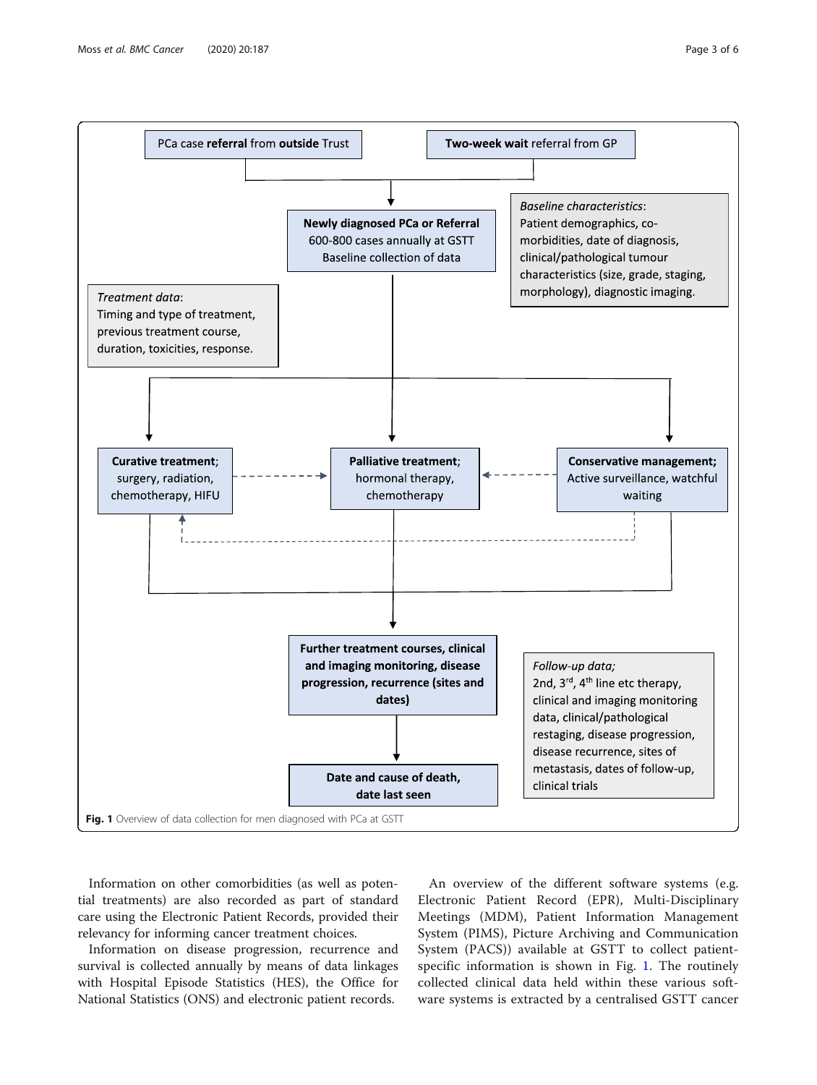<span id="page-2-0"></span>

Information on other comorbidities (as well as potential treatments) are also recorded as part of standard care using the Electronic Patient Records, provided their relevancy for informing cancer treatment choices.

Information on disease progression, recurrence and survival is collected annually by means of data linkages with Hospital Episode Statistics (HES), the Office for National Statistics (ONS) and electronic patient records.

An overview of the different software systems (e.g. Electronic Patient Record (EPR), Multi-Disciplinary Meetings (MDM), Patient Information Management System (PIMS), Picture Archiving and Communication System (PACS)) available at GSTT to collect patientspecific information is shown in Fig. 1. The routinely collected clinical data held within these various software systems is extracted by a centralised GSTT cancer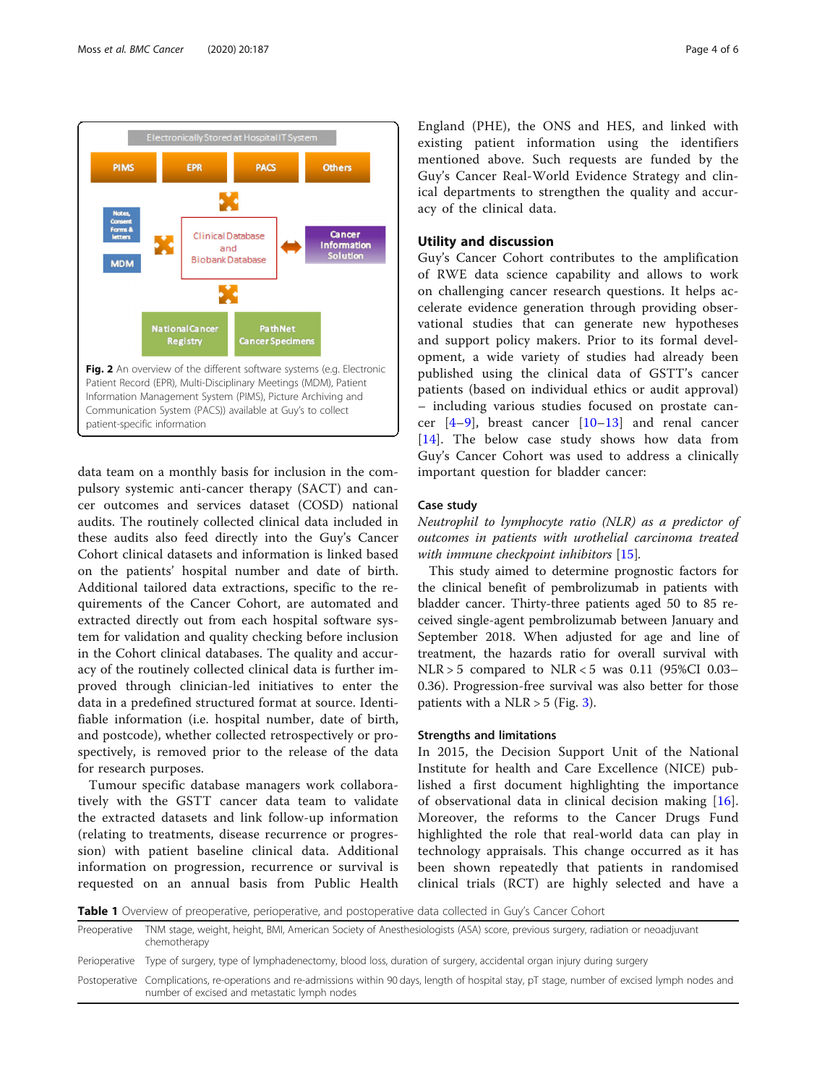<span id="page-3-0"></span>

data team on a monthly basis for inclusion in the compulsory systemic anti-cancer therapy (SACT) and cancer outcomes and services dataset (COSD) national audits. The routinely collected clinical data included in these audits also feed directly into the Guy's Cancer Cohort clinical datasets and information is linked based on the patients' hospital number and date of birth. Additional tailored data extractions, specific to the requirements of the Cancer Cohort, are automated and extracted directly out from each hospital software system for validation and quality checking before inclusion in the Cohort clinical databases. The quality and accuracy of the routinely collected clinical data is further improved through clinician-led initiatives to enter the data in a predefined structured format at source. Identifiable information (i.e. hospital number, date of birth, and postcode), whether collected retrospectively or prospectively, is removed prior to the release of the data for research purposes.

Tumour specific database managers work collaboratively with the GSTT cancer data team to validate the extracted datasets and link follow-up information (relating to treatments, disease recurrence or progression) with patient baseline clinical data. Additional information on progression, recurrence or survival is requested on an annual basis from Public Health

England (PHE), the ONS and HES, and linked with existing patient information using the identifiers mentioned above. Such requests are funded by the Guy's Cancer Real-World Evidence Strategy and clinical departments to strengthen the quality and accuracy of the clinical data.

# Utility and discussion

Guy's Cancer Cohort contributes to the amplification of RWE data science capability and allows to work on challenging cancer research questions. It helps accelerate evidence generation through providing observational studies that can generate new hypotheses and support policy makers. Prior to its formal development, a wide variety of studies had already been published using the clinical data of GSTT's cancer patients (based on individual ethics or audit approval) – including various studies focused on prostate cancer  $[4-9]$  $[4-9]$  $[4-9]$  $[4-9]$ , breast cancer  $[10-13]$  $[10-13]$  $[10-13]$  $[10-13]$  and renal cancer [[14](#page-5-0)]. The below case study shows how data from Guy's Cancer Cohort was used to address a clinically important question for bladder cancer:

#### Case study

Neutrophil to lymphocyte ratio (NLR) as a predictor of outcomes in patients with urothelial carcinoma treated with immune checkpoint inhibitors [\[15](#page-5-0)].

This study aimed to determine prognostic factors for the clinical benefit of pembrolizumab in patients with bladder cancer. Thirty-three patients aged 50 to 85 received single-agent pembrolizumab between January and September 2018. When adjusted for age and line of treatment, the hazards ratio for overall survival with  $NLR > 5$  compared to  $NLR < 5$  was 0.11 (95%CI 0.03– 0.36). Progression-free survival was also better for those patients with a  $NLR > 5$  (Fig. [3\)](#page-4-0).

## Strengths and limitations

In 2015, the Decision Support Unit of the National Institute for health and Care Excellence (NICE) published a first document highlighting the importance of observational data in clinical decision making [[16](#page-5-0)]. Moreover, the reforms to the Cancer Drugs Fund highlighted the role that real-world data can play in technology appraisals. This change occurred as it has been shown repeatedly that patients in randomised clinical trials (RCT) are highly selected and have a

Table 1 Overview of preoperative, perioperative, and postoperative data collected in Guy's Cancer Cohort

| Preoperative TNM stage, weight, height, BMI, American Society of Anesthesiologists (ASA) score, previous surgery, radiation or neoadjuvant |
|--------------------------------------------------------------------------------------------------------------------------------------------|
| chemotherapy                                                                                                                               |

Perioperative Type of surgery, type of lymphadenectomy, blood loss, duration of surgery, accidental organ injury during surgery

Postoperative Complications, re-operations and re-admissions within 90 days, length of hospital stay, pT stage, number of excised lymph nodes and number of excised and metastatic lymph nodes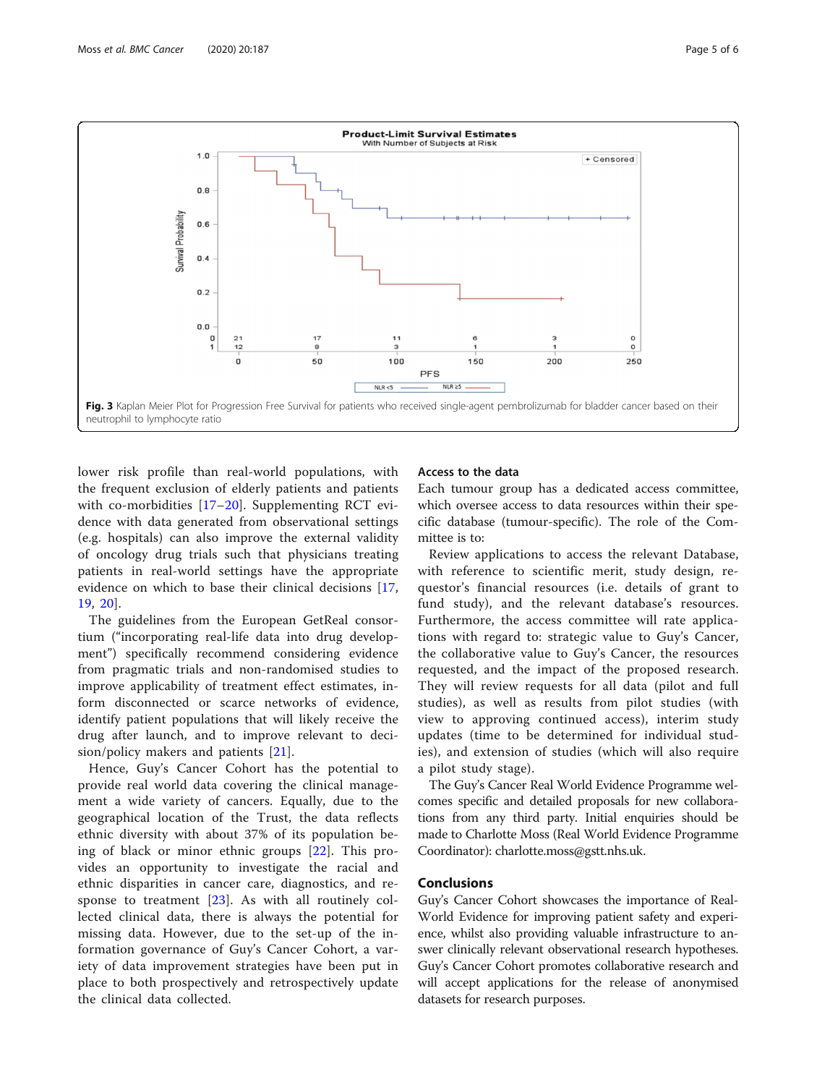<span id="page-4-0"></span>

lower risk profile than real-world populations, with the frequent exclusion of elderly patients and patients with co-morbidities [[17](#page-5-0)–[20](#page-5-0)]. Supplementing RCT evidence with data generated from observational settings (e.g. hospitals) can also improve the external validity of oncology drug trials such that physicians treating patients in real-world settings have the appropriate evidence on which to base their clinical decisions [\[17](#page-5-0), [19,](#page-5-0) [20\]](#page-5-0).

The guidelines from the European GetReal consortium ("incorporating real-life data into drug development") specifically recommend considering evidence from pragmatic trials and non-randomised studies to improve applicability of treatment effect estimates, inform disconnected or scarce networks of evidence, identify patient populations that will likely receive the drug after launch, and to improve relevant to decision/policy makers and patients [\[21](#page-5-0)].

Hence, Guy's Cancer Cohort has the potential to provide real world data covering the clinical management a wide variety of cancers. Equally, due to the geographical location of the Trust, the data reflects ethnic diversity with about 37% of its population being of black or minor ethnic groups [[22](#page-5-0)]. This provides an opportunity to investigate the racial and ethnic disparities in cancer care, diagnostics, and response to treatment [\[23\]](#page-5-0). As with all routinely collected clinical data, there is always the potential for missing data. However, due to the set-up of the information governance of Guy's Cancer Cohort, a variety of data improvement strategies have been put in place to both prospectively and retrospectively update the clinical data collected.

## Access to the data

Each tumour group has a dedicated access committee, which oversee access to data resources within their specific database (tumour-specific). The role of the Committee is to:

Review applications to access the relevant Database, with reference to scientific merit, study design, requestor's financial resources (i.e. details of grant to fund study), and the relevant database's resources. Furthermore, the access committee will rate applications with regard to: strategic value to Guy's Cancer, the collaborative value to Guy's Cancer, the resources requested, and the impact of the proposed research. They will review requests for all data (pilot and full studies), as well as results from pilot studies (with view to approving continued access), interim study updates (time to be determined for individual studies), and extension of studies (which will also require a pilot study stage).

The Guy's Cancer Real World Evidence Programme welcomes specific and detailed proposals for new collaborations from any third party. Initial enquiries should be made to Charlotte Moss (Real World Evidence Programme Coordinator): charlotte.moss@gstt.nhs.uk.

# Conclusions

Guy's Cancer Cohort showcases the importance of Real-World Evidence for improving patient safety and experience, whilst also providing valuable infrastructure to answer clinically relevant observational research hypotheses. Guy's Cancer Cohort promotes collaborative research and will accept applications for the release of anonymised datasets for research purposes.